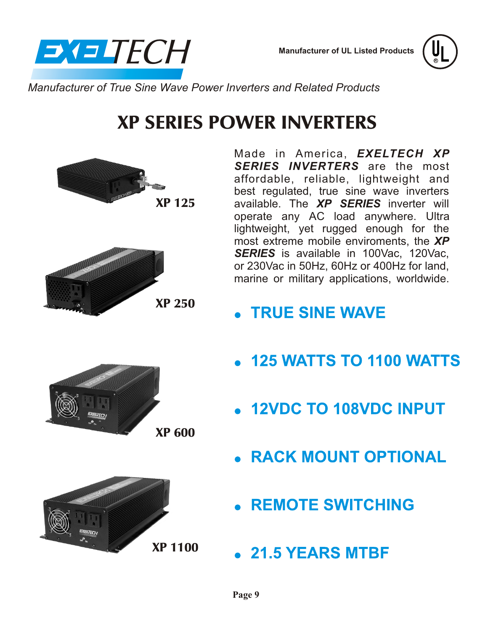

**Manufacturer of UL Listed Products**



*Manufacturer of True Sine Wave Power Inverters and Related Products*

# XP SERIES POWER INVERTERS





Made in America, *EXELTECH XP SERIES INVERTERS* are the most affordable, reliable, lightweight and best regulated, true sine wave inverters available. The *XP SERIES* inverter will operate any AC load anywhere. Ultra lightweight, yet rugged enough for the most extreme mobile enviroments, the *XP* **SERIES** is available in 100Vac, 120Vac, or 230Vac in 50Hz, 60Hz or 400Hz for land, marine or military applications, worldwide.

- **TRUE SINE WAVE**
- $\bullet$  125 WATTS TO 1100 WATTS
- 12VDC TO 108VDC INPUT
- **RACK MOUNT OPTIONAL**
- **REMOTE SWITCHING**
- 21.5 YEARS MTBF



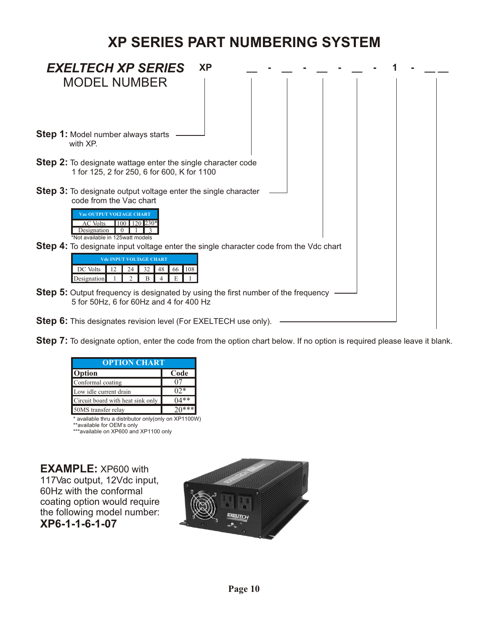## **XP SERIES PART NUMBERING SYSTEM**

| <b>EXELTECH XP SERIES</b><br><b>XP</b>                                                                                                                                        |
|-------------------------------------------------------------------------------------------------------------------------------------------------------------------------------|
| <b>MODEL NUMBER</b>                                                                                                                                                           |
| <b>Step 1:</b> Model number always starts<br>with XP.                                                                                                                         |
| <b>Step 2:</b> To designate wattage enter the single character code<br>1 for 125, 2 for 250, 6 for 600, K for 1100                                                            |
| <b>Step 3:</b> To designate output voltage enter the single character<br>code from the Vac chart<br><b>Vac OUTPUT VOLTAGE CHART</b><br>100<br><b>AC</b> Volts<br>$120$ $230*$ |
| Designation<br>*Not available in 125watt models<br><b>Step 4:</b> To designate input voltage enter the single character code from the Vdc chart                               |
| <b>Vdc INPUT VOLTAGE CHART</b><br>DC Volts<br>66 108<br>32<br>48<br>12<br>24<br>Designation<br>E<br>$\mathcal{P}$<br>B                                                        |
| <b>Step 5:</b> Output frequency is designated by using the first number of the frequency<br>5 for 50Hz, 6 for 60Hz and 4 for 400 Hz                                           |
| <b>Step 6:</b> This designates revision level (For EXELTECH use only).                                                                                                        |

**Step 7:** To designate option, enter the code from the option chart below. If no option is required please leave it blank.

| <b>OPTION CHART</b>               |                |  |
|-----------------------------------|----------------|--|
| <b>Option</b>                     | Code           |  |
| Conformal coating                 |                |  |
| Low idle current drain            | 0 <sup>2</sup> |  |
| Circuit board with heat sink only | $(14**$        |  |
| 50MS transfer relay               | $20***$        |  |

\* available thru a distributor only(only on XP1100W)

\*\*available for OEM's only \*\*\*available on XP600 and XP1100 only

**EXAMPLE:** XP600 with 117Vac output, 12Vdc input, 60Hz with the conformal coating option would require the following model number: **XP6-1-1-6-1-07**

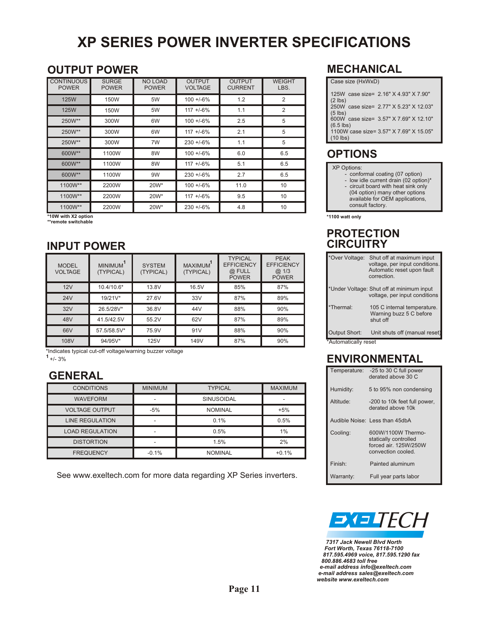## **XP SERIES POWER INVERTER SPECIFICATIONS**

#### **OUTPUT POWER**

| <b>CONTINUOUS</b><br><b>POWER</b> | <b>SURGE</b><br><b>POWER</b> | <b>NO LOAD</b><br><b>POWER</b> | <b>OUTPUT</b><br><b>VOLTAGE</b> | <b>OUTPUT</b><br><b>CURRENT</b> | <b>WEIGHT</b><br>LBS. |
|-----------------------------------|------------------------------|--------------------------------|---------------------------------|---------------------------------|-----------------------|
| <b>125W</b>                       | 150W                         | 5W                             | $100 + 6\%$                     | 1.2                             | 2                     |
| <b>125W</b>                       | 150W                         | 5W                             | $117 + -6%$                     | 1.1                             | 2                     |
| 250W**                            | 300W                         | 6W                             | $100 + 6\%$                     | 2.5                             | 5                     |
| 250W**                            | 300W                         | 6W                             | $117 + -6%$                     | 2.1                             | 5                     |
| 250W**                            | 300W                         | 7W                             | $230 + 6\%$                     | 1.1                             | 5                     |
| 600W**                            | 1100W                        | 8W                             | $100 + 6\%$                     | 6.0                             | 6.5                   |
| 600W**                            | 1100W                        | 8W                             | $117 + -6%$                     | 5.1                             | 6.5                   |
| 600W**                            | 1100W                        | 9W                             | $230 + 6\%$                     | 2.7                             | 6.5                   |
| 1100W**                           | 2200W                        | 20W*                           | $100 + 6\%$                     | 11.0                            | 10                    |
| 1100W**                           | 2200W                        | 20W*                           | $117 + -6%$                     | 9.5                             | 10                    |
| 1100W**                           | 2200W                        | 20W*                           | $230 + 6\%$                     | 4.8                             | 10                    |

**\*10W with X2 option \*\*remote switchable**

#### **INPUT POWER**

| <b>MODEL</b><br><b>VOLTAGE</b> | <b>MINIMUM</b><br>(TYPICAL) | <b>SYSTEM</b><br>(TYPICAL) | <b>MAXIMUM</b><br>(TYPICAL) | <b>TYPICAL</b><br><b>EFFICIENCY</b><br>@ FULL<br><b>POWER</b> | <b>PEAK</b><br><b>EFFICIENCY</b><br>@1/3<br><b>POWER</b> |
|--------------------------------|-----------------------------|----------------------------|-----------------------------|---------------------------------------------------------------|----------------------------------------------------------|
| 12V                            | 10.4/10.6*                  | 13.8V                      | 16.5V                       | 85%                                                           | 87%                                                      |
| 24V                            | 19/21V*                     | 27.6V                      | 33V                         | 87%                                                           | 89%                                                      |
| 32V                            | 26.5/28V*                   | 36.8V                      | 44V                         | 88%                                                           | 90%                                                      |
| 48V                            | 41.5/42.5V                  | 55.2V                      | 62V                         | 87%                                                           | 89%                                                      |
| 66V                            | 57.5/58.5V*                 | 75.9V                      | 91V                         | 88%                                                           | 90%                                                      |
| 108V                           | 94/95V*                     | <b>125V</b>                | 149V                        | 87%                                                           | 90%                                                      |

\*Indicates typical cut-off voltage/warning buzzer voltage

+/- 3% **<sup>1</sup>**

### **GENERAL**

| <b>CONDITIONS</b>      | <b>MINIMUM</b> | <b>TYPICAL</b>    | <b>MAXIMUM</b> |
|------------------------|----------------|-------------------|----------------|
| <b>WAVEFORM</b>        |                | <b>SINUSOIDAL</b> |                |
| <b>VOLTAGE OUTPUT</b>  | $-5%$          | <b>NOMINAL</b>    | $+5%$          |
| <b>LINE REGULATION</b> |                | 0.1%              | 0.5%           |
| <b>LOAD REGULATION</b> |                | 0.5%              | 1%             |
| <b>DISTORTION</b>      |                | 1.5%              | 2%             |
| <b>FREQUENCY</b>       | $-0.1%$        | <b>NOMINAL</b>    | $+0.1%$        |

See www.exeltech.com for more data regarding XP Series inverters.

#### **MECHANICAL**

| Case size (HxWxD)                                     |
|-------------------------------------------------------|
| 125W case size= 2.16" X 4.93" X 7.90"<br>$(2$ lbs)    |
| 250W case size= 2.77" X 5.23" X 12.03"<br>$(5$ lbs)   |
| 600W case size= 3.57" X 7.69" X 12.10"<br>$(6.5$ lbs) |
| 1100W case size= 3.57" X 7.69" X 15.05"<br>$(10$ lbs) |
|                                                       |

### **OPTIONS**

#### XP Options:

- conformal coating (07 option)
- low idle current drain (02 option)\* - circuit board with heat sink only (04 option) many other options available for OEM applications, consult factory.

**\*1100 watt only**

#### **PROTECTION CIRCUITRY**

| *Over Voltage:                        | Shut off at maximum input<br>voltage, per input conditions.<br>Automatic reset upon fault<br>correction. |
|---------------------------------------|----------------------------------------------------------------------------------------------------------|
|                                       | *Under Voltage: Shut off at minimum input<br>voltage, per input conditions                               |
| *Thermal:                             | 105 C internal temperature.<br>Warning buzz 5 C before<br>shut off                                       |
| Output Short:<br>*Automatically reset | Unit shuts off (manual reset)                                                                            |

\*Automatically reset

#### **ENVIRONMENTAL**

| Temperature: | -25 to 30 C full power<br>derated above 30 C                                               |
|--------------|--------------------------------------------------------------------------------------------|
| Humidity:    | 5 to 95% non condensing                                                                    |
| Altitude:    | -200 to 10k feet full power,<br>derated above 10k                                          |
|              | Audible Noise: Less than 45dbA                                                             |
| Cooling:     | 600W/1100W Thermo-<br>statically controlled<br>forced air, 125W/250W<br>convection cooled. |
| Finish:      | Painted aluminum                                                                           |
| Warranty:    | Full year parts labor                                                                      |



 *7317 Jack Newell Blvd North Fort Worth, Texas 76118-7100 817.595.4969 voice, 817.595.1290 fax 800.886.4683 toll free e-mail address info@exeltech.com e-mail address sales@exeltech.com website www.exeltech.com*